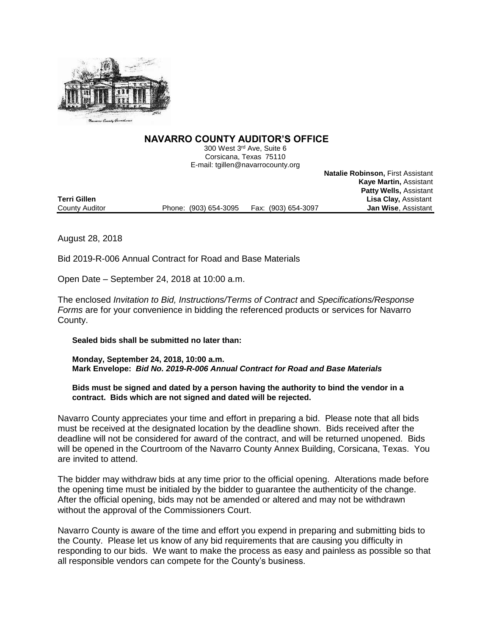

# **NAVARRO COUNTY AUDITOR'S OFFICE**

300 West 3rd Ave, Suite 6 Corsicana, Texas 75110 E-mail: tgillen@navarrocounty.org

**Natalie Robinson,** First Assistant **Kaye Martin,** Assistant **Patty Wells,** Assistant **Terri Gillen Lisa Clay,** Assistant County Auditor **Phone:** (903) 654-3095 Fax: (903) 654-3097

August 28, 2018

Bid 2019-R-006 Annual Contract for Road and Base Materials

Open Date – September 24, 2018 at 10:00 a.m.

The enclosed *Invitation to Bid, Instructions/Terms of Contract* and *Specifications/Response Forms* are for your convenience in bidding the referenced products or services for Navarro County.

**Sealed bids shall be submitted no later than:**

**Monday, September 24, 2018, 10:00 a.m. Mark Envelope:** *Bid No. 2019-R-006 Annual Contract for Road and Base Materials*

**Bids must be signed and dated by a person having the authority to bind the vendor in a contract. Bids which are not signed and dated will be rejected.**

Navarro County appreciates your time and effort in preparing a bid. Please note that all bids must be received at the designated location by the deadline shown. Bids received after the deadline will not be considered for award of the contract, and will be returned unopened. Bids will be opened in the Courtroom of the Navarro County Annex Building, Corsicana, Texas. You are invited to attend.

The bidder may withdraw bids at any time prior to the official opening. Alterations made before the opening time must be initialed by the bidder to guarantee the authenticity of the change. After the official opening, bids may not be amended or altered and may not be withdrawn without the approval of the Commissioners Court.

Navarro County is aware of the time and effort you expend in preparing and submitting bids to the County. Please let us know of any bid requirements that are causing you difficulty in responding to our bids. We want to make the process as easy and painless as possible so that all responsible vendors can compete for the County's business.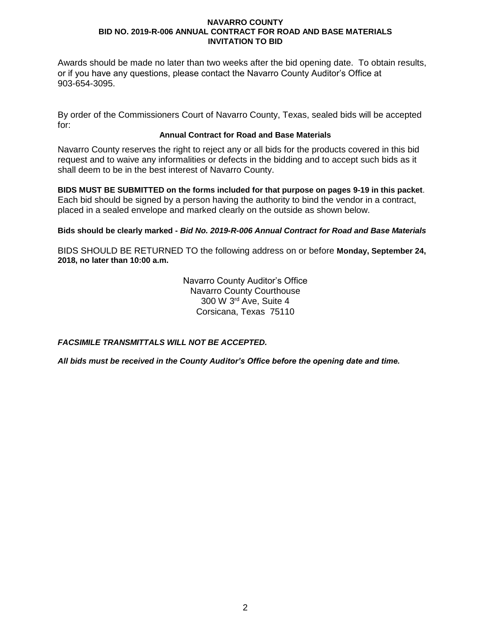Awards should be made no later than two weeks after the bid opening date. To obtain results, or if you have any questions, please contact the Navarro County Auditor's Office at 903-654-3095.

By order of the Commissioners Court of Navarro County, Texas, sealed bids will be accepted for:

# **Annual Contract for Road and Base Materials**

Navarro County reserves the right to reject any or all bids for the products covered in this bid request and to waive any informalities or defects in the bidding and to accept such bids as it shall deem to be in the best interest of Navarro County.

**BIDS MUST BE SUBMITTED on the forms included for that purpose on pages 9-19 in this packet**. Each bid should be signed by a person having the authority to bind the vendor in a contract, placed in a sealed envelope and marked clearly on the outside as shown below.

**Bids should be clearly marked -** *Bid No. 2019-R-006 Annual Contract for Road and Base Materials*

BIDS SHOULD BE RETURNED TO the following address on or before **Monday, September 24, 2018, no later than 10:00 a.m.**

> Navarro County Auditor's Office Navarro County Courthouse 300 W 3rd Ave, Suite 4 Corsicana, Texas 75110

*FACSIMILE TRANSMITTALS WILL NOT BE ACCEPTED.*

*All bids must be received in the County Auditor's Office before the opening date and time.*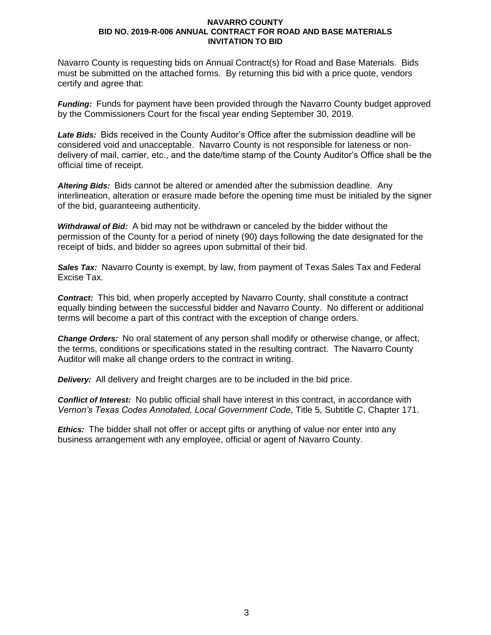Navarro County is requesting bids on Annual Contract(s) for Road and Base Materials. Bids must be submitted on the attached forms. By returning this bid with a price quote, vendors certify and agree that:

*Funding:* Funds for payment have been provided through the Navarro County budget approved by the Commissioners Court for the fiscal year ending September 30, 2019.

*Late Bids:* Bids received in the County Auditor's Office after the submission deadline will be considered void and unacceptable. Navarro County is not responsible for lateness or nondelivery of mail, carrier, etc., and the date/time stamp of the County Auditor's Office shall be the official time of receipt.

*Altering Bids:* Bids cannot be altered or amended after the submission deadline. Any interlineation, alteration or erasure made before the opening time must be initialed by the signer of the bid, guaranteeing authenticity.

*Withdrawal of Bid:* A bid may not be withdrawn or canceled by the bidder without the permission of the County for a period of ninety (90) days following the date designated for the receipt of bids, and bidder so agrees upon submittal of their bid.

*Sales Tax:* Navarro County is exempt, by law, from payment of Texas Sales Tax and Federal Excise Tax.

*Contract:* This bid, when properly accepted by Navarro County, shall constitute a contract equally binding between the successful bidder and Navarro County. No different or additional terms will become a part of this contract with the exception of change orders.

*Change Orders:* No oral statement of any person shall modify or otherwise change, or affect, the terms, conditions or specifications stated in the resulting contract. The Navarro County Auditor will make all change orders to the contract in writing.

*Delivery:* All delivery and freight charges are to be included in the bid price.

*Conflict of Interest:* No public official shall have interest in this contract, in accordance with *Vernon's Texas Codes Annotated, Local Government Code*, Title 5, Subtitle C, Chapter 171.

*Ethics:* The bidder shall not offer or accept gifts or anything of value nor enter into any business arrangement with any employee, official or agent of Navarro County.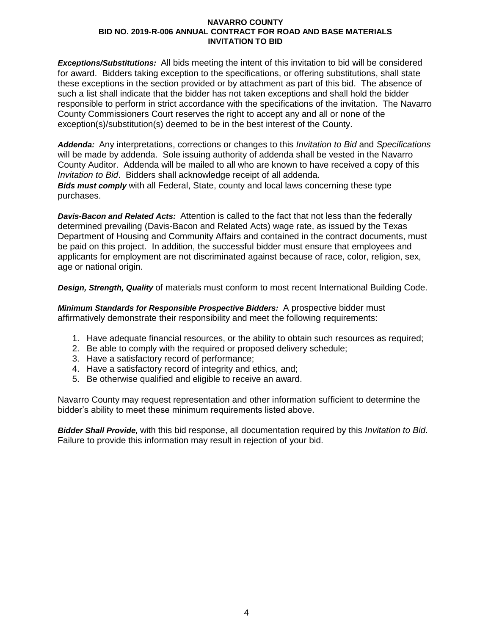*Exceptions/Substitutions:* All bids meeting the intent of this invitation to bid will be considered for award. Bidders taking exception to the specifications, or offering substitutions, shall state these exceptions in the section provided or by attachment as part of this bid. The absence of such a list shall indicate that the bidder has not taken exceptions and shall hold the bidder responsible to perform in strict accordance with the specifications of the invitation. The Navarro County Commissioners Court reserves the right to accept any and all or none of the exception(s)/substitution(s) deemed to be in the best interest of the County.

*Addenda:* Any interpretations, corrections or changes to this *Invitation to Bid* and *Specifications* will be made by addenda. Sole issuing authority of addenda shall be vested in the Navarro County Auditor. Addenda will be mailed to all who are known to have received a copy of this *Invitation to Bid*. Bidders shall acknowledge receipt of all addenda. *Bids must comply* with all Federal, State, county and local laws concerning these type purchases.

*Davis-Bacon and Related Acts:* Attention is called to the fact that not less than the federally determined prevailing (Davis-Bacon and Related Acts) wage rate, as issued by the Texas Department of Housing and Community Affairs and contained in the contract documents, must be paid on this project. In addition, the successful bidder must ensure that employees and applicants for employment are not discriminated against because of race, color, religion, sex, age or national origin.

*Design, Strength, Quality* of materials must conform to most recent International Building Code.

*Minimum Standards for Responsible Prospective Bidders:* A prospective bidder must affirmatively demonstrate their responsibility and meet the following requirements:

- 1. Have adequate financial resources, or the ability to obtain such resources as required;
- 2. Be able to comply with the required or proposed delivery schedule;
- 3. Have a satisfactory record of performance;
- 4. Have a satisfactory record of integrity and ethics, and;
- 5. Be otherwise qualified and eligible to receive an award.

Navarro County may request representation and other information sufficient to determine the bidder's ability to meet these minimum requirements listed above.

*Bidder Shall Provide,* with this bid response, all documentation required by this *Invitation to Bid*. Failure to provide this information may result in rejection of your bid.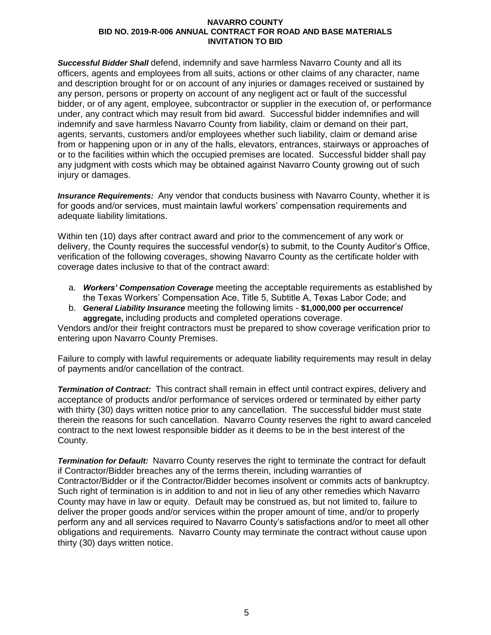*Successful Bidder Shall* defend, indemnify and save harmless Navarro County and all its officers, agents and employees from all suits, actions or other claims of any character, name and description brought for or on account of any injuries or damages received or sustained by any person, persons or property on account of any negligent act or fault of the successful bidder, or of any agent, employee, subcontractor or supplier in the execution of, or performance under, any contract which may result from bid award. Successful bidder indemnifies and will indemnify and save harmless Navarro County from liability, claim or demand on their part, agents, servants, customers and/or employees whether such liability, claim or demand arise from or happening upon or in any of the halls, elevators, entrances, stairways or approaches of or to the facilities within which the occupied premises are located. Successful bidder shall pay any judgment with costs which may be obtained against Navarro County growing out of such injury or damages.

*Insurance Requirements:* Any vendor that conducts business with Navarro County, whether it is for goods and/or services, must maintain lawful workers' compensation requirements and adequate liability limitations.

Within ten (10) days after contract award and prior to the commencement of any work or delivery, the County requires the successful vendor(s) to submit, to the County Auditor's Office, verification of the following coverages, showing Navarro County as the certificate holder with coverage dates inclusive to that of the contract award:

- a. *Workers' Compensation Coverage* meeting the acceptable requirements as established by the Texas Workers' Compensation Ace, Title 5, Subtitle A, Texas Labor Code; and
- b. *General Liability Insurance* meeting the following limits **\$1,000,000 per occurrence/ aggregate,** including products and completed operations coverage.

Vendors and/or their freight contractors must be prepared to show coverage verification prior to entering upon Navarro County Premises.

Failure to comply with lawful requirements or adequate liability requirements may result in delay of payments and/or cancellation of the contract.

*Termination of Contract:* This contract shall remain in effect until contract expires, delivery and acceptance of products and/or performance of services ordered or terminated by either party with thirty (30) days written notice prior to any cancellation. The successful bidder must state therein the reasons for such cancellation. Navarro County reserves the right to award canceled contract to the next lowest responsible bidder as it deems to be in the best interest of the County.

*Termination for Default:* Navarro County reserves the right to terminate the contract for default if Contractor/Bidder breaches any of the terms therein, including warranties of Contractor/Bidder or if the Contractor/Bidder becomes insolvent or commits acts of bankruptcy. Such right of termination is in addition to and not in lieu of any other remedies which Navarro County may have in law or equity. Default may be construed as, but not limited to, failure to deliver the proper goods and/or services within the proper amount of time, and/or to properly perform any and all services required to Navarro County's satisfactions and/or to meet all other obligations and requirements. Navarro County may terminate the contract without cause upon thirty (30) days written notice.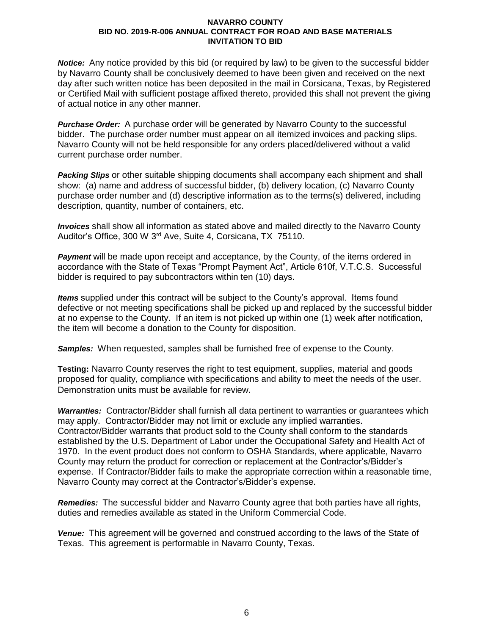*Notice:* Any notice provided by this bid (or required by law) to be given to the successful bidder by Navarro County shall be conclusively deemed to have been given and received on the next day after such written notice has been deposited in the mail in Corsicana, Texas, by Registered or Certified Mail with sufficient postage affixed thereto, provided this shall not prevent the giving of actual notice in any other manner.

*Purchase Order:* A purchase order will be generated by Navarro County to the successful bidder. The purchase order number must appear on all itemized invoices and packing slips. Navarro County will not be held responsible for any orders placed/delivered without a valid current purchase order number.

*Packing Slips* or other suitable shipping documents shall accompany each shipment and shall show: (a) name and address of successful bidder, (b) delivery location, (c) Navarro County purchase order number and (d) descriptive information as to the terms(s) delivered, including description, quantity, number of containers, etc.

*Invoices* shall show all information as stated above and mailed directly to the Navarro County Auditor's Office, 300 W 3rd Ave, Suite 4, Corsicana, TX 75110.

**Payment** will be made upon receipt and acceptance, by the County, of the items ordered in accordance with the State of Texas "Prompt Payment Act", Article 610f, V.T.C.S. Successful bidder is required to pay subcontractors within ten (10) days.

*Items* supplied under this contract will be subject to the County's approval. Items found defective or not meeting specifications shall be picked up and replaced by the successful bidder at no expense to the County. If an item is not picked up within one (1) week after notification, the item will become a donation to the County for disposition.

*Samples:* When requested, samples shall be furnished free of expense to the County.

**Testing:** Navarro County reserves the right to test equipment, supplies, material and goods proposed for quality, compliance with specifications and ability to meet the needs of the user. Demonstration units must be available for review.

*Warranties:* Contractor/Bidder shall furnish all data pertinent to warranties or guarantees which may apply. Contractor/Bidder may not limit or exclude any implied warranties. Contractor/Bidder warrants that product sold to the County shall conform to the standards established by the U.S. Department of Labor under the Occupational Safety and Health Act of 1970. In the event product does not conform to OSHA Standards, where applicable, Navarro County may return the product for correction or replacement at the Contractor's/Bidder's expense. If Contractor/Bidder fails to make the appropriate correction within a reasonable time, Navarro County may correct at the Contractor's/Bidder's expense.

*Remedies:* The successful bidder and Navarro County agree that both parties have all rights, duties and remedies available as stated in the Uniform Commercial Code.

*Venue:* This agreement will be governed and construed according to the laws of the State of Texas. This agreement is performable in Navarro County, Texas.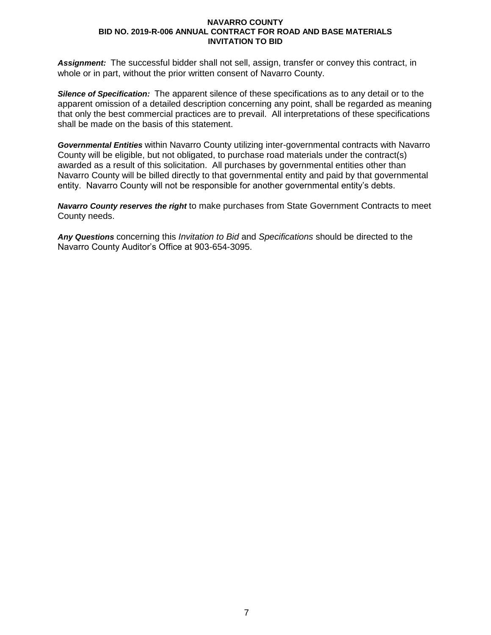*Assignment:* The successful bidder shall not sell, assign, transfer or convey this contract, in whole or in part, without the prior written consent of Navarro County.

*Silence of Specification:* The apparent silence of these specifications as to any detail or to the apparent omission of a detailed description concerning any point, shall be regarded as meaning that only the best commercial practices are to prevail. All interpretations of these specifications shall be made on the basis of this statement.

*Governmental Entities* within Navarro County utilizing inter-governmental contracts with Navarro County will be eligible, but not obligated, to purchase road materials under the contract(s) awarded as a result of this solicitation. All purchases by governmental entities other than Navarro County will be billed directly to that governmental entity and paid by that governmental entity. Navarro County will not be responsible for another governmental entity's debts.

*Navarro County reserves the right* to make purchases from State Government Contracts to meet County needs.

*Any Questions* concerning this *Invitation to Bid* and *Specifications* should be directed to the Navarro County Auditor's Office at 903-654-3095.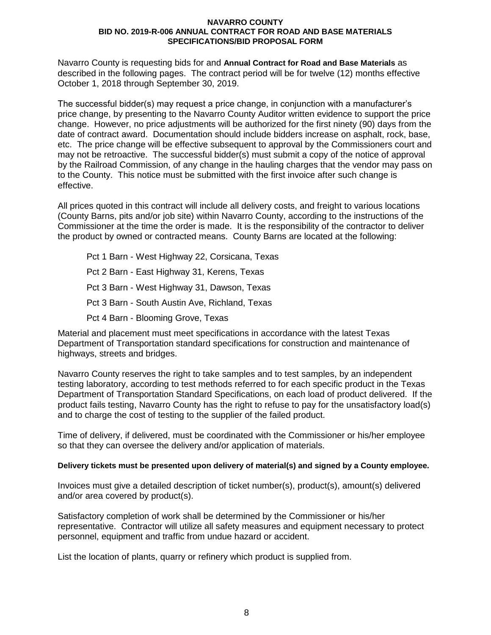Navarro County is requesting bids for and **Annual Contract for Road and Base Materials** as described in the following pages. The contract period will be for twelve (12) months effective October 1, 2018 through September 30, 2019.

The successful bidder(s) may request a price change, in conjunction with a manufacturer's price change, by presenting to the Navarro County Auditor written evidence to support the price change. However, no price adjustments will be authorized for the first ninety (90) days from the date of contract award. Documentation should include bidders increase on asphalt, rock, base, etc. The price change will be effective subsequent to approval by the Commissioners court and may not be retroactive. The successful bidder(s) must submit a copy of the notice of approval by the Railroad Commission, of any change in the hauling charges that the vendor may pass on to the County. This notice must be submitted with the first invoice after such change is effective.

All prices quoted in this contract will include all delivery costs, and freight to various locations (County Barns, pits and/or job site) within Navarro County, according to the instructions of the Commissioner at the time the order is made. It is the responsibility of the contractor to deliver the product by owned or contracted means. County Barns are located at the following:

Pct 1 Barn - West Highway 22, Corsicana, Texas Pct 2 Barn - East Highway 31, Kerens, Texas Pct 3 Barn - West Highway 31, Dawson, Texas Pct 3 Barn - South Austin Ave, Richland, Texas Pct 4 Barn - Blooming Grove, Texas

Material and placement must meet specifications in accordance with the latest Texas Department of Transportation standard specifications for construction and maintenance of highways, streets and bridges.

Navarro County reserves the right to take samples and to test samples, by an independent testing laboratory, according to test methods referred to for each specific product in the Texas Department of Transportation Standard Specifications, on each load of product delivered. If the product fails testing, Navarro County has the right to refuse to pay for the unsatisfactory load(s) and to charge the cost of testing to the supplier of the failed product.

Time of delivery, if delivered, must be coordinated with the Commissioner or his/her employee so that they can oversee the delivery and/or application of materials.

# **Delivery tickets must be presented upon delivery of material(s) and signed by a County employee.**

Invoices must give a detailed description of ticket number(s), product(s), amount(s) delivered and/or area covered by product(s).

Satisfactory completion of work shall be determined by the Commissioner or his/her representative. Contractor will utilize all safety measures and equipment necessary to protect personnel, equipment and traffic from undue hazard or accident.

List the location of plants, quarry or refinery which product is supplied from.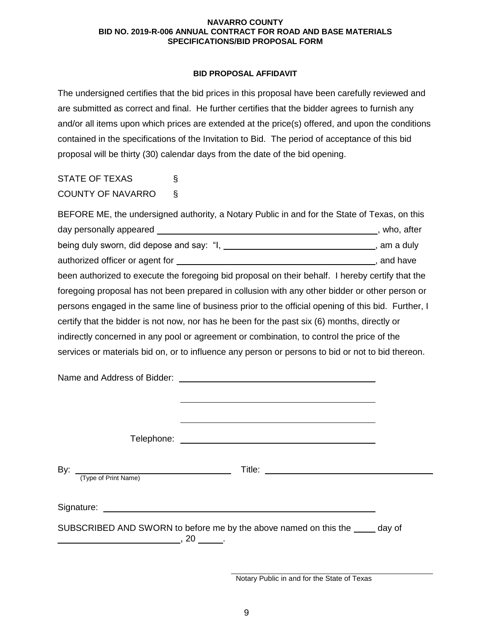# **BID PROPOSAL AFFIDAVIT**

The undersigned certifies that the bid prices in this proposal have been carefully reviewed and are submitted as correct and final. He further certifies that the bidder agrees to furnish any and/or all items upon which prices are extended at the price(s) offered, and upon the conditions contained in the specifications of the Invitation to Bid. The period of acceptance of this bid proposal will be thirty (30) calendar days from the date of the bid opening.

STATE OF TEXAS § COUNTY OF NAVARRO §

BEFORE ME, the undersigned authority, a Notary Public in and for the State of Texas, on this day personally appeared and the state of the state of the state of the state of the state of the state of the state of the state of the state of the state of the state of the state of the state of the state of the state of being duly sworn, did depose and say: "I, \_\_\_\_\_\_\_\_\_\_\_\_\_\_\_\_\_\_\_\_\_\_\_\_\_\_\_\_\_\_\_\_, am a duly authorized officer or agent for  $\overline{\phantom{a}}$  and have , and have been authorized to execute the foregoing bid proposal on their behalf. I hereby certify that the foregoing proposal has not been prepared in collusion with any other bidder or other person or persons engaged in the same line of business prior to the official opening of this bid. Further, I certify that the bidder is not now, nor has he been for the past six (6) months, directly or indirectly concerned in any pool or agreement or combination, to control the price of the services or materials bid on, or to influence any person or persons to bid or not to bid thereon.

| (Type of Print Name)                           |                                                                              |  |
|------------------------------------------------|------------------------------------------------------------------------------|--|
| $\sim$ , and the set of $\sim$ , $20$ $\sim$ . | SUBSCRIBED AND SWORN to before me by the above named on this the ____ day of |  |

Notary Public in and for the State of Texas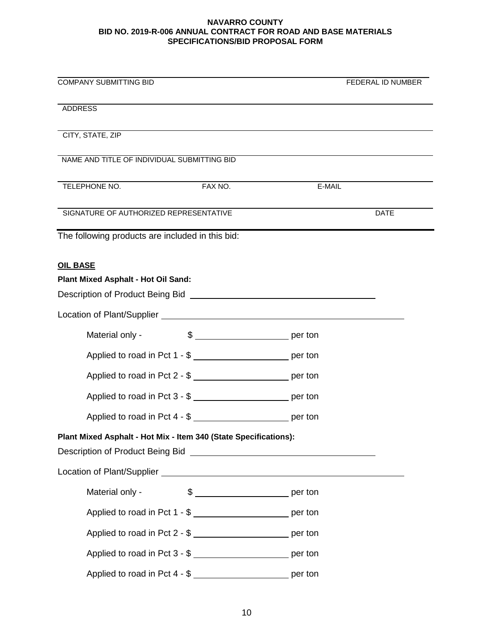| <b>COMPANY SUBMITTING BID</b>                                                                                                                                                                                                        | FEDERAL ID NUMBER     |
|--------------------------------------------------------------------------------------------------------------------------------------------------------------------------------------------------------------------------------------|-----------------------|
| <b>ADDRESS</b>                                                                                                                                                                                                                       |                       |
| CITY, STATE, ZIP                                                                                                                                                                                                                     |                       |
| NAME AND TITLE OF INDIVIDUAL SUBMITTING BID                                                                                                                                                                                          |                       |
| TELEPHONE NO.<br>FAX NO.                                                                                                                                                                                                             | E-MAIL                |
| SIGNATURE OF AUTHORIZED REPRESENTATIVE                                                                                                                                                                                               | <b>DATE</b>           |
| The following products are included in this bid:                                                                                                                                                                                     |                       |
| <b>OIL BASE</b>                                                                                                                                                                                                                      |                       |
| Plant Mixed Asphalt - Hot Oil Sand:                                                                                                                                                                                                  |                       |
| Description of Product Being Bid <b>Constantine Constantine Constantine Constantine Constantine Constantine Constantine Constantine Constantine Constantine Constantine Constantine Constantine Constantine Constantine Constant</b> |                       |
| Location of Plant/Supplier<br><u>Location</u> of Plant/Supplier                                                                                                                                                                      |                       |
| Material only -                                                                                                                                                                                                                      | $\frac{1}{2}$ per ton |
| Applied to road in Pct 1 - \$                                                                                                                                                                                                        |                       |
| Applied to road in Pct 2 - \$ __________________________ per ton                                                                                                                                                                     |                       |
| Applied to road in Pct 3 - \$                                                                                                                                                                                                        |                       |
| Applied to road in Pct 4 - \$ ___________________________ per ton                                                                                                                                                                    |                       |
| Plant Mixed Asphalt - Hot Mix - Item 340 (State Specifications):<br>Description of Product Being Bid Network and Secretary and Secretary and Secretary and Secretary and Secretary                                                   |                       |
|                                                                                                                                                                                                                                      |                       |
| Material only -                                                                                                                                                                                                                      | $\frac{1}{2}$ per ton |
| Applied to road in Pct 1 - \$                                                                                                                                                                                                        |                       |
| Applied to road in Pct 2 - \$                                                                                                                                                                                                        |                       |
| Applied to road in Pct 3 - \$ __________________________ per ton                                                                                                                                                                     |                       |
| Applied to road in Pct 4 - \$ ___________________________ per ton                                                                                                                                                                    |                       |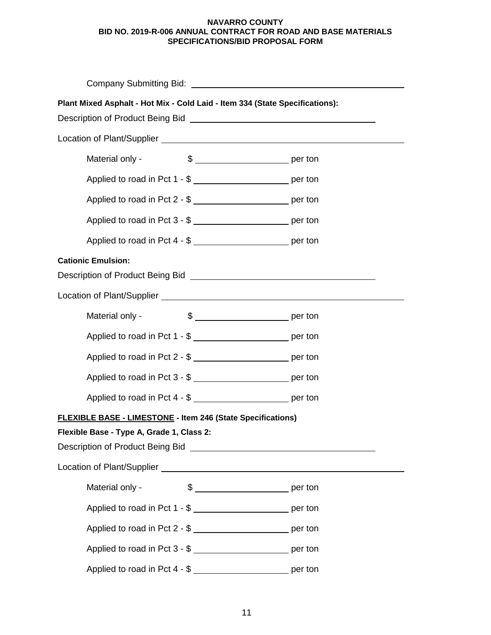| Company Submitting Bid: University of Company Submitting Bid:                                                                                                                                                                                                                                                        |  |  |
|----------------------------------------------------------------------------------------------------------------------------------------------------------------------------------------------------------------------------------------------------------------------------------------------------------------------|--|--|
| Plant Mixed Asphalt - Hot Mix - Cold Laid - Item 334 (State Specifications):<br>Description of Product Being Bid <b>Constantine Constantine Constantine Constantine Constantine Constantine Constantine Constantine Constantine Constantine Constantine Constantine Constantine Constantine Constantine Constant</b> |  |  |
|                                                                                                                                                                                                                                                                                                                      |  |  |
| Material only -                                                                                                                                                                                                                                                                                                      |  |  |
| Applied to road in Pct 1 - \$ ___________________________ per ton                                                                                                                                                                                                                                                    |  |  |
| Applied to road in Pct 2 - \$ __________________________ per ton                                                                                                                                                                                                                                                     |  |  |
| Applied to road in Pct 3 - \$ ___________________________ per ton                                                                                                                                                                                                                                                    |  |  |
| Applied to road in Pct 4 - \$ ____________________________ per ton                                                                                                                                                                                                                                                   |  |  |
| <b>Cationic Emulsion:</b><br>Description of Product Being Bid New York Control of Product Being Bid                                                                                                                                                                                                                  |  |  |
|                                                                                                                                                                                                                                                                                                                      |  |  |
| Material only -                                                                                                                                                                                                                                                                                                      |  |  |
| Applied to road in Pct 1 - \$ _____________________________ per ton                                                                                                                                                                                                                                                  |  |  |
| Applied to road in Pct 2 - \$                                                                                                                                                                                                                                                                                        |  |  |
| Applied to road in Pct 3 - \$ __________________________ per ton                                                                                                                                                                                                                                                     |  |  |
| Applied to road in Pct 4 - \$ ___________________________ per ton                                                                                                                                                                                                                                                    |  |  |
| FLEXIBLE BASE - LIMESTONE - Item 246 (State Specifications)<br>Flexible Base - Type A, Grade 1, Class 2:                                                                                                                                                                                                             |  |  |
| Description of Product Being Bid [1994] [2003] [2004] [2004] [2005] [2006] [2006] [2006] [2006] [2006] [2006] [                                                                                                                                                                                                      |  |  |
|                                                                                                                                                                                                                                                                                                                      |  |  |
| Material only -<br>$\frac{1}{2}$ per ton                                                                                                                                                                                                                                                                             |  |  |
| Applied to road in Pct 1 - \$ ___________________________ per ton                                                                                                                                                                                                                                                    |  |  |
| Applied to road in Pct 2 - \$ __________________________ per ton                                                                                                                                                                                                                                                     |  |  |
| Applied to road in Pct 3 - \$ __________________________ per ton                                                                                                                                                                                                                                                     |  |  |
| Applied to road in Pct 4 - \$ __________________________ per ton                                                                                                                                                                                                                                                     |  |  |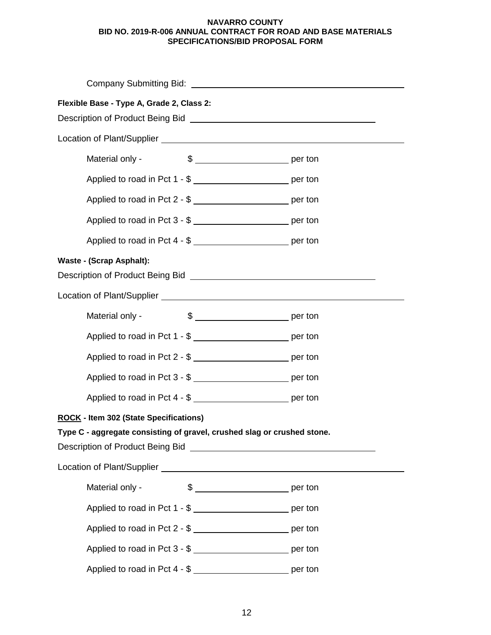| Flexible Base - Type A, Grade 2, Class 2:<br>Description of Product Being Bid New York Changes and Theorem 2014                                |                                                                    |  |  |
|------------------------------------------------------------------------------------------------------------------------------------------------|--------------------------------------------------------------------|--|--|
|                                                                                                                                                |                                                                    |  |  |
| Material only -                                                                                                                                |                                                                    |  |  |
|                                                                                                                                                | Applied to road in Pct 1 - \$                                      |  |  |
|                                                                                                                                                | Applied to road in Pct 2 - \$ ___________________________ per ton  |  |  |
|                                                                                                                                                |                                                                    |  |  |
|                                                                                                                                                | Applied to road in Pct 4 - \$                                      |  |  |
| <b>Waste - (Scrap Asphalt):</b><br>Description of Product Being Bid Network and Secretary Annual Accounts and Description of Product Being Bid |                                                                    |  |  |
|                                                                                                                                                |                                                                    |  |  |
| Material only -                                                                                                                                | $\frac{1}{2}$ per ton                                              |  |  |
|                                                                                                                                                | Applied to road in Pct 1 - \$                                      |  |  |
|                                                                                                                                                | Applied to road in Pct 2 - \$                                      |  |  |
|                                                                                                                                                | Applied to road in Pct 3 - \$ ___________________________ per ton  |  |  |
|                                                                                                                                                | Applied to road in Pct 4 - \$ __________________________ per ton   |  |  |
| <b>ROCK - Item 302 (State Specifications)</b>                                                                                                  |                                                                    |  |  |
| Type C - aggregate consisting of gravel, crushed slag or crushed stone.                                                                        |                                                                    |  |  |
|                                                                                                                                                |                                                                    |  |  |
|                                                                                                                                                |                                                                    |  |  |
| Material only -                                                                                                                                |                                                                    |  |  |
|                                                                                                                                                | Applied to road in Pct 1 - \$ ____________________________ per ton |  |  |
|                                                                                                                                                | Applied to road in Pct 2 - \$ ___________________________ per ton  |  |  |
|                                                                                                                                                | Applied to road in Pct 3 - \$ __________________________ per ton   |  |  |
|                                                                                                                                                | Applied to road in Pct 4 - \$                                      |  |  |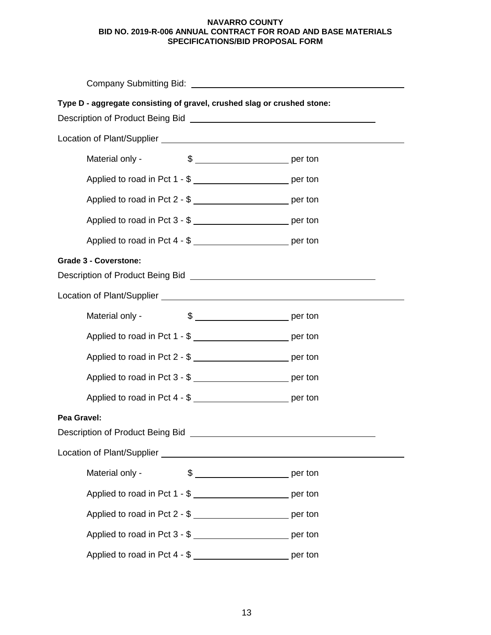| Type D - aggregate consisting of gravel, crushed slag or crushed stone:<br>Description of Product Being Bid [100] [2010] [2010] [2010] [2010] [2010] [2010] [2010] [2010] [2010] [2010] [                                                                            |  |  |
|----------------------------------------------------------------------------------------------------------------------------------------------------------------------------------------------------------------------------------------------------------------------|--|--|
|                                                                                                                                                                                                                                                                      |  |  |
| Material only -                                                                                                                                                                                                                                                      |  |  |
| Applied to road in Pct 1 - \$ __________________________ per ton                                                                                                                                                                                                     |  |  |
| Applied to road in Pct 2 - \$ __________________________ per ton                                                                                                                                                                                                     |  |  |
|                                                                                                                                                                                                                                                                      |  |  |
| Applied to road in Pct 4 - \$                                                                                                                                                                                                                                        |  |  |
| <b>Grade 3 - Coverstone:</b><br>Description of Product Being Bid <b>Constantine Constantine Constantine Constantine Constantine Constantine Constantine Constantine Constantine Constantine Constantine Constantine Constantine Constantine Constantine Constant</b> |  |  |
|                                                                                                                                                                                                                                                                      |  |  |
| Material only -                                                                                                                                                                                                                                                      |  |  |
| Applied to road in Pct 1 - \$ __________________________ per ton                                                                                                                                                                                                     |  |  |
| Applied to road in Pct 2 - \$ ___________________________ per ton                                                                                                                                                                                                    |  |  |
| Applied to road in Pct 3 - \$ ____________________________ per ton                                                                                                                                                                                                   |  |  |
| Applied to road in Pct 4 - \$ __________________________ per ton                                                                                                                                                                                                     |  |  |
| Pea Gravel:<br>Description of Product Being Bid<br>Fig. 2. The Contract of Architecture of Architecture and Architecture and Architecture and Architecture and A                                                                                                     |  |  |
|                                                                                                                                                                                                                                                                      |  |  |
| Material only -                                                                                                                                                                                                                                                      |  |  |
| Applied to road in Pct 1 - \$ __________________________ per ton                                                                                                                                                                                                     |  |  |
| Applied to road in Pct 2 - \$                                                                                                                                                                                                                                        |  |  |
| Applied to road in Pct 3 - \$ __________________________ per ton                                                                                                                                                                                                     |  |  |
| Applied to road in Pct 4 - \$ __________________________ per ton                                                                                                                                                                                                     |  |  |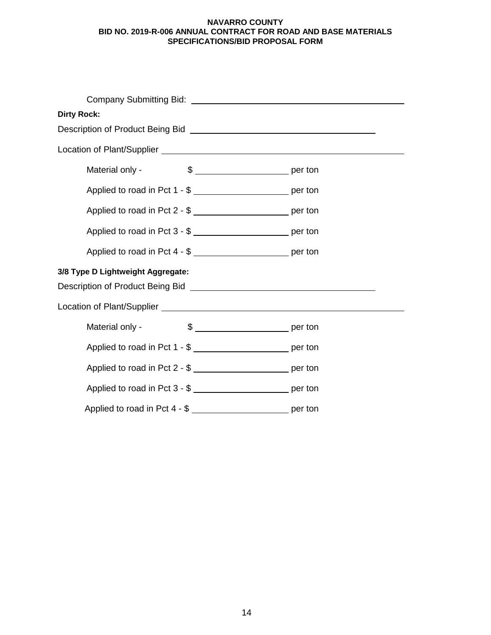| <b>Dirty Rock:</b>                                                                                            |  |  |  |
|---------------------------------------------------------------------------------------------------------------|--|--|--|
| Description of Product Being Bid [CrossReferred Product Being Bid ] [CrossReferred Product Being Bid ] [Cross |  |  |  |
|                                                                                                               |  |  |  |
| Material only -                                                                                               |  |  |  |
| Applied to road in Pct 1 - \$ ____________________________ per ton                                            |  |  |  |
| Applied to road in Pct 2 - \$ ___________________________ per ton                                             |  |  |  |
| Applied to road in Pct 3 - \$ __________________________ per ton                                              |  |  |  |
| Applied to road in Pct 4 - \$                                                                                 |  |  |  |
| 3/8 Type D Lightweight Aggregate:                                                                             |  |  |  |
|                                                                                                               |  |  |  |
| Material only -                                                                                               |  |  |  |
| Applied to road in Pct 1 - \$                                                                                 |  |  |  |
| Applied to road in Pct 2 - \$                                                                                 |  |  |  |
| Applied to road in Pct 3 - \$                                                                                 |  |  |  |
| Applied to road in Pct 4 - \$ __________________________ per ton                                              |  |  |  |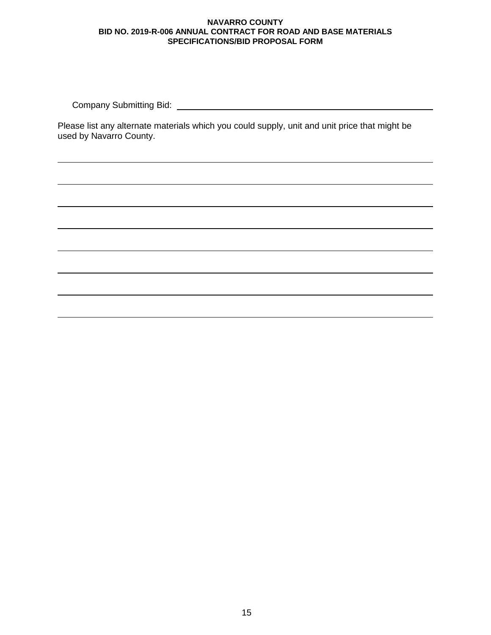Company Submitting Bid:

Please list any alternate materials which you could supply, unit and unit price that might be used by Navarro County.

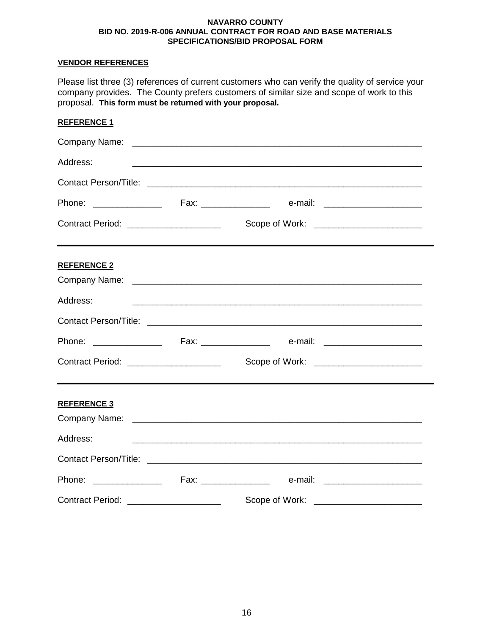# **VENDOR REFERENCES**

Please list three (3) references of current customers who can verify the quality of service your company provides. The County prefers customers of similar size and scope of work to this proposal. **This form must be returned with your proposal.**

| <b>REFERENCE 1</b>                      |                                                             |  |
|-----------------------------------------|-------------------------------------------------------------|--|
|                                         |                                                             |  |
| Address:                                | <u> 1989 - Johann Stoff, amerikansk politiker (d. 1989)</u> |  |
|                                         |                                                             |  |
|                                         |                                                             |  |
| Contract Period: ______________________ | Scope of Work: ___________________________                  |  |
| <b>REFERENCE 2</b>                      |                                                             |  |
|                                         |                                                             |  |
| Address:                                |                                                             |  |
|                                         |                                                             |  |
|                                         |                                                             |  |
| Contract Period: ______________________ |                                                             |  |
| <b>REFERENCE 3</b>                      |                                                             |  |
|                                         |                                                             |  |
| Address:                                |                                                             |  |
|                                         |                                                             |  |
|                                         |                                                             |  |
| Contract Period: ______________________ | Scope of Work:                                              |  |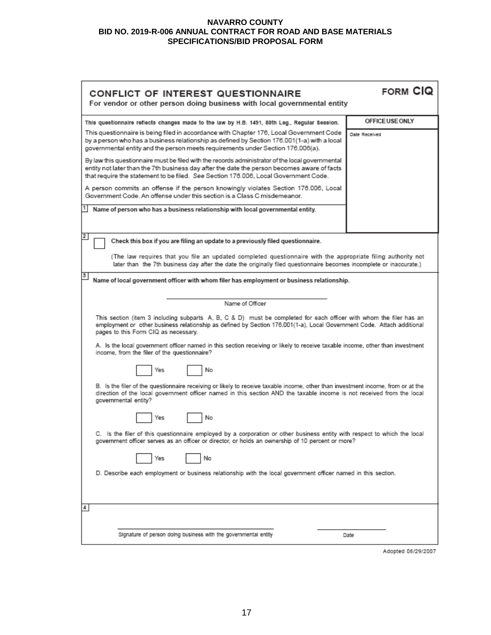| CONFLICT OF INTEREST QUESTIONNAIRE<br>For vendor or other person doing business with local governmental entity                                                                                                                                                                         | <b>FORM CIQ</b> |  |
|----------------------------------------------------------------------------------------------------------------------------------------------------------------------------------------------------------------------------------------------------------------------------------------|-----------------|--|
|                                                                                                                                                                                                                                                                                        | OFFICE USE ONLY |  |
| This questionnaire reflects changes made to the law by H.B. 1491, 80th Leg., Regular Session.<br>This questionnaire is being filed in accordance with Chapter 176, Local Government Code                                                                                               |                 |  |
| by a person who has a business relationship as defined by Section 176.001(1-a) with a local<br>governmental entity and the person meets requirements under Section 176.006(a).                                                                                                         | Date Received   |  |
| By law this questionnaire must be filed with the records administrator of the local governmental<br>entity not later than the 7th business day after the date the person becomes aware of facts<br>that require the statement to be filed. See Section 176.006, Local Government Code. |                 |  |
| A person commits an offense if the person knowingly violates Section 176.006, Local<br>Government Code. An offense under this section is a Class C misdemeanor.                                                                                                                        |                 |  |
| Name of person who has a business relationship with local governmental entity.                                                                                                                                                                                                         |                 |  |
| 2                                                                                                                                                                                                                                                                                      |                 |  |
| Check this box if you are filing an update to a previously filed questionnaire.                                                                                                                                                                                                        |                 |  |
| (The law requires that you file an updated completed questionnaire with the appropriate filing authority not<br>later than the 7th business day after the date the originally filed questionnaire becomes incomplete or inaccurate.)                                                   |                 |  |
| 3<br>Name of local government officer with whom filer has employment or business relationship.                                                                                                                                                                                         |                 |  |
|                                                                                                                                                                                                                                                                                        |                 |  |
| Name of Officer                                                                                                                                                                                                                                                                        |                 |  |
| This section (item 3 including subparts A, B, C & D) must be completed for each officer with whom the filer has an<br>employment or other business relationship as defined by Section 176.001(1-a), Local Government Code. Attach additional<br>pages to this Form CIQ as necessary.   |                 |  |
| A. Is the local government officer named in this section receiving or likely to receive taxable income, other than investment<br>income, from the filer of the questionnaire?                                                                                                          |                 |  |
| No<br>Yes                                                                                                                                                                                                                                                                              |                 |  |
| B. Is the filer of the questionnaire receiving or likely to receive taxable income, other than investment income, from or at the<br>direction of the local government officer named in this section AND the taxable income is not received from the local<br>governmental entity?      |                 |  |
| No<br>Yes                                                                                                                                                                                                                                                                              |                 |  |
| C. Is the filer of this questionnaire employed by a corporation or other business entity with respect to which the local<br>government officer serves as an officer or director, or holds an ownership of 10 percent or more?                                                          |                 |  |
| No<br>Yes                                                                                                                                                                                                                                                                              |                 |  |
| D. Describe each employment or business relationship with the local government officer named in this section.                                                                                                                                                                          |                 |  |
| 4                                                                                                                                                                                                                                                                                      |                 |  |
| Signature of person doing business with the governmental entity                                                                                                                                                                                                                        | Date            |  |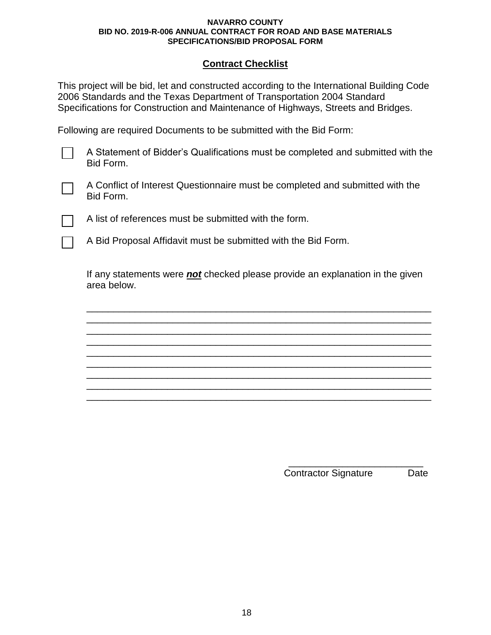# **Contract Checklist**

This project will be bid, let and constructed according to the International Building Code 2006 Standards and the Texas Department of Transportation 2004 Standard Specifications for Construction and Maintenance of Highways, Streets and Bridges.

Following are required Documents to be submitted with the Bid Form:

A Statement of Bidder's Qualifications must be completed and submitted with the Bid Form.



A Conflict of Interest Questionnaire must be completed and submitted with the Bid Form.

A list of references must be submitted with the form.

A Bid Proposal Affidavit must be submitted with the Bid Form.

If any statements were *not* checked please provide an explanation in the given area below.

\_\_\_\_\_\_\_\_\_\_\_\_\_\_\_\_\_\_\_\_\_\_\_\_\_\_\_\_\_\_\_\_\_\_\_\_\_\_\_\_\_\_\_\_\_\_\_\_\_\_\_\_\_\_\_\_\_\_\_\_\_\_\_\_ \_\_\_\_\_\_\_\_\_\_\_\_\_\_\_\_\_\_\_\_\_\_\_\_\_\_\_\_\_\_\_\_\_\_\_\_\_\_\_\_\_\_\_\_\_\_\_\_\_\_\_\_\_\_\_\_\_\_\_\_\_\_\_\_ \_\_\_\_\_\_\_\_\_\_\_\_\_\_\_\_\_\_\_\_\_\_\_\_\_\_\_\_\_\_\_\_\_\_\_\_\_\_\_\_\_\_\_\_\_\_\_\_\_\_\_\_\_\_\_\_\_\_\_\_\_\_\_\_ \_\_\_\_\_\_\_\_\_\_\_\_\_\_\_\_\_\_\_\_\_\_\_\_\_\_\_\_\_\_\_\_\_\_\_\_\_\_\_\_\_\_\_\_\_\_\_\_\_\_\_\_\_\_\_\_\_\_\_\_\_\_\_\_ \_\_\_\_\_\_\_\_\_\_\_\_\_\_\_\_\_\_\_\_\_\_\_\_\_\_\_\_\_\_\_\_\_\_\_\_\_\_\_\_\_\_\_\_\_\_\_\_\_\_\_\_\_\_\_\_\_\_\_\_\_\_\_\_ \_\_\_\_\_\_\_\_\_\_\_\_\_\_\_\_\_\_\_\_\_\_\_\_\_\_\_\_\_\_\_\_\_\_\_\_\_\_\_\_\_\_\_\_\_\_\_\_\_\_\_\_\_\_\_\_\_\_\_\_\_\_\_\_ \_\_\_\_\_\_\_\_\_\_\_\_\_\_\_\_\_\_\_\_\_\_\_\_\_\_\_\_\_\_\_\_\_\_\_\_\_\_\_\_\_\_\_\_\_\_\_\_\_\_\_\_\_\_\_\_\_\_\_\_\_\_\_\_ \_\_\_\_\_\_\_\_\_\_\_\_\_\_\_\_\_\_\_\_\_\_\_\_\_\_\_\_\_\_\_\_\_\_\_\_\_\_\_\_\_\_\_\_\_\_\_\_\_\_\_\_\_\_\_\_\_\_\_\_\_\_\_\_ \_\_\_\_\_\_\_\_\_\_\_\_\_\_\_\_\_\_\_\_\_\_\_\_\_\_\_\_\_\_\_\_\_\_\_\_\_\_\_\_\_\_\_\_\_\_\_\_\_\_\_\_\_\_\_\_\_\_\_\_\_\_\_\_

> \_\_\_\_\_\_\_\_\_\_\_\_\_\_\_\_\_\_\_\_\_\_\_\_\_ Contractor Signature Date